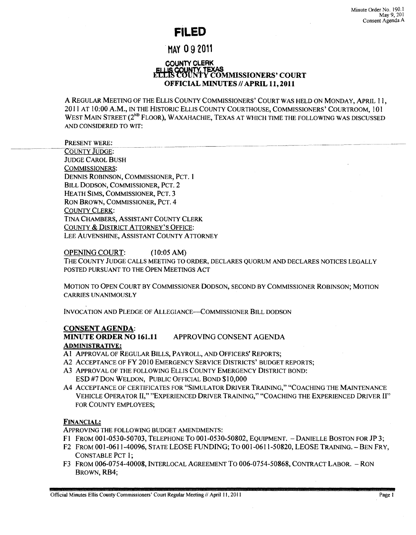# **FILED**

# MAY 092011

## COUNTY CLERK FILIS COUNTY TEXAS<br>FILIS COUNTY COMMISSIONERS' COURT OFFICIAL MINUTES // APRIL 11, 2011

A REGULAR MEETING OF THE ELLIS COUNTY COMMISSIONERS' COURT WAS HELD ON MONDAY, APRIL 11, 2011 AT 10:00 A.M., IN THE HISTORIC ELLIS COUNTY COURTHOUSE, COMMISSIONERS' COURTROOM, 101 WEST MAIN STREET (2<sup>ND</sup> FLOOR), WAXAHACHIE, TEXAS AT WHICH TIME THE FOLLOWING WAS DISCUSSED AND CONSIDERED TO WIT:

PRESENT WERE: COUNTY JUDGE: JUDGE CAROL BUSH COMMISSIONERS: DENNIS ROBINSON, COMMISSIONER, PCT. 1 BILL DODSON, COMMISSIONER, PCT. 2 HEATH SIMS, COMMISSIONER, PCT. 3 RON BROWN, COMMISSIONER, PCT. 4 COUNTY CLERK: TINA CHAMBERS, ASSISTANT COUNTY CLERK COUNTY & DISTRICT ATTORNEY'S OFFICE: LEE AUVENSHINE, ASSISTANT COUNTY ATTORNEY

### OPENING COURT: (l0:05AM)

THE COUNTY JUDGE CALLS MEETING TO ORDER, DECLARES QUORUM AND DECLARES NOTICES LEGALLY POSTED PURSUANT TO THE OPEN MEETINGS ACT

MOTION TO OPEN COURT BY COMMISSIONER DODSON, SECOND BY COMMISSIONER ROBINSON; MOTION CARRIES UNANIMOUSLY

INVOCATION AND PLEDGE OF ALLEGIANCE-COMMISSIONER BILL DODSON

#### CONSENT AGENDA:

MINUTE ORDER NO 161.11 APPROVING CONSENT AGENDA

#### ADMINISTRATIVE:

A1 APPROVAL OF REGULAR BILLS, PAYROLL, AND OFFICERS' REPORTS;

- A2 ACCEPTANCE OF FY 2010 EMERGENCY SERVICE DISTRICTS' BUDGET REPORTS;
- A3 ApPROVAL OF THE FOLLOWING ELLIS COUNTY EMERGENCY DISTRICT BOND: ESD #7 DON WELDON, PUBLIC OFFICIAL BOND \$10,000
- A4 ACCEPTANCE OF CERTIFICATES FOR "SIMULATOR DRIVER TRAINING," "COACHING THE MAINTENANCE VEHICLE OPERATOR II," "EXPERIENCED DRIVER TRAINING," "COACHING THE EXPERIENCED DRIVER II" FOR COUNTY EMPLOYEES;

### FINANCIAL:

ApPROVING THE FOLLOWING BUDGET AMENDMENTS:

- Fl FROM 001-0530-50703, TELEPHONE To 001-0530-50802, EQUIPMENT. DANIELLE BOSTON FOR JP 3;
- F2 FROM 001-0611-40096, STATE LEOSE FUNDING; To 001-0611-50820, LEOSE TRAINING. BEN FRY, CONSTABLE PCT 1;
- F3 FROM 006-0754-40008, INTERLOCAL AGREEMENT To 006-0754-50868, CONTRACT LABOR. RON BROWN, RB4;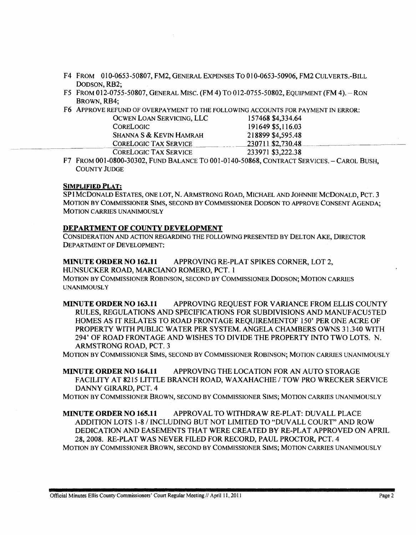- F4 FROM 010-0653-50807, FM2, GENERAL EXPENSES To 010-0653-50906, FM2 CULVERTS.-BILL DODSON, RB2;
- F5 FROM 012-0755-50807, GENERAL MISC. (FM 4) To 012-0755-50802, EQUIPMENT(FM 4). -RON BROWN, RB4;
- F6 ApPROVE REFUND OF OVERPAYMENT TO THE FOLLOWING ACCOUNTS FOR PAYMENT IN ERROR:

| OCWEN LOAN SERVICING, LLC    | 157468 \$4,334.64 |  |
|------------------------------|-------------------|--|
| <b>CORELOGIC</b>             | 191649 \$5,116.03 |  |
| SHANNA S & KEVIN HAMRAH      | 218899 \$4,595.48 |  |
| <b>CORELOGIC TAX SERVICE</b> | 230711 \$2,730.48 |  |
| <b>CORELOGIC TAX SERVICE</b> | 233971 \$3,222.38 |  |

F7 FROM 001-0800-30302, FUND BALANCE To 001-0140-50868, CONTRACT SERVICES. - CAROL BUSH, COUNTY JUDGE

### SIMPLIFIED PLAT:

SPIMCDONALD ESTATES, ONE LOT, N. ARMSTRONG ROAD, MICHAEL AND JOHNNIE MCDONALD, PCT. 3 MOTION BY COMMISSIONER SIMS, SECOND BY COMMISSIONER DODSON TO APPROVE CONSENT AGENDA; MOTION CARRIES UNANIMOUSLY

#### DEPARTMENT OF COUNTY DEVELOPMENT

CONSIDERATION AND ACTION REGARDING THE FOLLOWING PRESENTED BY DELTON AKE, DIRECTOR DEPARTMENT OF DEVELOPMENT:

MINUTE ORDER NO 162.11 APPROVING RE-PLAT SPIKES CORNER, LOT 2, HUNSUCKER ROAD, MARCIANO ROMERO, PCT. 1 MOTION BY COMMISSIONER ROBINSON, SECOND BY COMMISSIONER DODSON; MOTION CARRIES **UNANIMOUSLY** 

MINUTE ORDER NO 163.11 APPROVING REQUEST FOR VARIANCE FROM ELLIS COUNTY RULES, REGULATIONS AND SPECIFICATIONS FOR SUBDIVISIONS AND MANUF ACU5TED HOMES AS IT RELATES TO ROAD FRONTAGE REQUIREMENTOF 150' PER ONE ACRE OF PROPERTY WITH PUBLIC WATER PER SYSTEM. ANGELA CHAMBERS OWNS 31.340 WITH 294' OF ROAD FRONTAGE AND WISHES TO DIVIDE THE PROPERTY INTO TWO LOTS. N. ARMSTRONG ROAD, PCT. 3

MOTION BY COMMISSIONER SIMS, SECOND BY COMMISSIONER ROBINSON; MOTION CARRIES UNANIMOUSLY

MINUTE ORDER NO 164.11 APPROVING THE LOCATION FOR AN AUTO STORAGE FACILITY AT 8215 LITTLE BRANCH ROAD, WAXAHACHIE / TOW PRO WRECKER SERVICE DANNY GIRARD, PCT. 4

MOTION BY COMMISSIONER BROWN, SECOND BY COMMISSIONER SIMS; MOTION CARRIES UNANIMOUSLY

MINUTE ORDER NO 165.11 APPROVAL TO WITHDRAW RE-PLAT: DUVALL PLACE ADDITION LOTS 1-8/ INCLUDING BUT NOT LIMITED TO "DUVALL COURT" AND ROW DEDICATION AND EASEMENTS THAT WERE CREATED BY RE-PLAT APPROVED ON APRIL 28, 2008. RE-PLAT WAS NEVER FILED FOR RECORD, PAUL PROCTOR, PCT. 4 MOTION BY COMMISSIONER BROWN, SECOND BY COMMISSIONER SIMS; MOTION CARRIES UNANIMOUSLY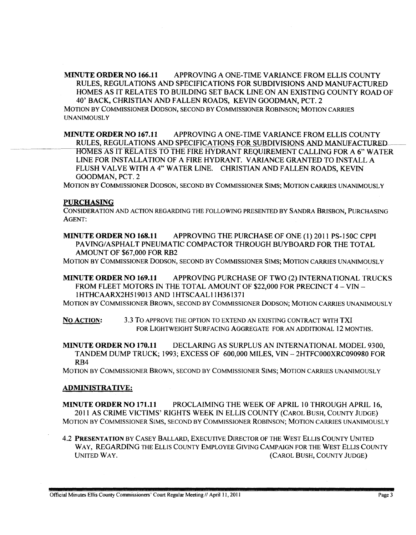MINUTE ORDER NO 166.11 APPROVING A ONE-TIME VARIANCE FROM ELLIS COUNTY RULES, REGULATIONS AND SPECIFICATIONS FOR SUBDIVISIONS AND MANUFACTURED HOMES AS IT RELATES TO BUILDING SET BACK LINE ON AN EXISTING COUNTY ROAD OF 40' BACK, CHRISTIAN AND FALLEN ROADS, KEVIN GOODMAN, PCT. 2 MOTION BY COMMISSIONER DODSON, SECOND BY COMMISSIONER ROBINSON; MOTION CARRIES **UNANIMOUSLY** 

MINUTE ORDER NO 167.11 APPROVING A ONE-TIME VARIANCE FROM ELLIS COUNTY RULES, REGULATIONS AND SPECIFICATIONS FOR SUBDIVISIONS AND MANUFACTURED HOMES AS IT RELATES TO THE FIRE HYDRANT REQUIREMENT CALLING FOR A 6" WATER LINE FOR INSTALLATION OF A FIRE HYDRANT. V ARIANCE GRANTED TO INSTALL A FLUSH VALVE WITH A 4" WATER LINE. CHRISTIAN AND FALLEN ROADS, KEVIN GOODMAN, PCT. 2

MOTION BY COMMISSIONER DODSON, SECOND BY COMMISSIONER SIMS; MOTION CARRIES UNANIMOUSLY

#### PURCHASING

CONSIDERATION AND ACTION REGARDING THE FOLLOWING PRESENTED BY SANDRA BRISBON, PURCHASING AGENT:

MINUTE ORDER NO 168.11 APPROVING THE PURCHASE OF ONE (1) 2011 PS-150C CPPI PAVING/ASPHALT PNEUMATIC COMPACTOR THROUGH BUYBOARD FOR THE TOTAL AMOUNT OF \$67,000 FOR RB2

MOTION BY COMMISSIONER DODSON, SECOND BY COMMISSIONER SIMS; MOTION CARRIES UNANIMOUSLY

MINUTE ORDER NO 169.11 APPROVING PURCHASE OF TWO (2) INTERNATIONAL TRUCKS FROM FLEET MOTORS IN THE TOTAL AMOUNT OF \$22,000 FOR PRECINCT 4 - VIN -IHTHCAARX2H519013 AND IHTSCAALIIH361371

MOTION BY COMMISSIONER BROWN, SECOND BY COMMISSIONER DODSON; MOTION CARRIES UNANIMOUSLY

No ACTION: 3.3 To APPROVE THE OPTION TO EXTEND AN EXISTING CONTRACT WITH TXI FOR LIGHTWEIGHT SURFACING AGGREGATE FOR AN ADDITIONAL 12 MONTHS.

MINUTE ORDER NO 170.11 DECLARING AS SURPLUS AN INTERNATIONAL MODEL 9300, TANDEM DUMP TRUCK; 1993; EXCESS OF 600,000 MILES, VIN - 2HTFCOOOXRC090980 FOR RB4

MOTION BY COMMISSIONER BROWN, SECOND BY COMMISSIONER SIMS; MOTION CARRIES UNANIMOUSLY

#### ADMINISTRATIVE:

MINUTE ORDER NO 171.11 PROCLAIMING THE WEEK OF APRIL 10 THROUGH APRIL 16, 2011 AS CRIME VICTIMS' RIGHTS WEEK IN ELLIS COUNTY (CAROL BUSH, COUNTY JUDGE) MOTION BY COMMISSIONER SIMS, SECOND BY COMMISSIONER ROBINSON; MOTION CARRIES UNANIMOUSLY

4.2 PRESENTATION BY CASEY BALLARD, EXECUTIVE DIRECTOR OF THE WEST ELLIS COUNTY UNITED WAY, REGARDING THE ELLIS COUNTY EMPLOYEE GIVING CAMPAIGN FOR THE WEST ELLIS COUNTY UNITED WAY. (CAROL BUSH, COUNTY JUDGE)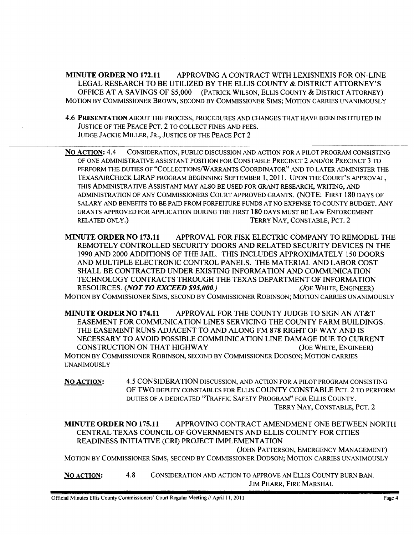MINUTE ORDER NO 172.11 APPROVING A CONTRACT WITH LEXISNEXIS FOR ON-LINE LEGAL RESEARCH TO BE UTILIZED BY THE ELLIS COUNTY & DISTRICT ATTORNEY'S OFFICE AT A SAVINGS OF \$5,000 (PATRICK WILSON, ELLIS COUNTY & DISTRICT ATTORNEY) MOTION BY COMMISSIONER BROWN, SECOND BY COMMISSIONER SIMS; MOTION CARRIES UNANIMOUSLY

4.6 PRESENTATION ABOUT THE PROCESS, PROCEDURES AND CHANGES THAT HAVE BEEN INSTITUTED IN JUSTICE OF THE PEACE PCT. 2 TO COLLECT FINES AND FEES. JUDGE JACKIE MILLER, JR., JUSTICE OF THE PEACE PCT 2

No ACTION: 4.4 CONSIDERA TION, PUBLIC DISCUSSION AND ACTION FOR A PILOT PROGRAM CONSISTING OF ONE ADMINISTRATIVE ASSISTANT POSITION FOR CONSTABLE PRECINCT 2 AND/OR PRECINCT 3 TO PERFORM THE DUTIES OF "COLLECTIONS/W ARRANTS COORDINATOR" AND TO LATER ADMINISTER THE TEXASAIRCHECK LIRAP PROGRAM BEGINNING SEPTEMBER 1, 2011. UPON THE COURT' S APPROVAL, THIS ADMINISTRATIVE ASSISTANT MAY ALSO BE USED FOR GRANT RESEARCH, WRITING, AND ADMINISTRATION OF ANY COMMISSIONERS COURT APPROVED GRANTS. (NOTE: FIRST 180 DAYS OF SALARY AND BENEFITS TO BE PAID FROM FORFEITURE FUNDS AT NO EXPENSE TO COUNTY BUDGET. ANY GRANTS APPROVED FOR APPLICATION DURING THE FIRST 180 DAYS MUST BE LAW ENFORCEMENT RELATED ONLY.) TERRY NAY, CONSTABLE, PCT. 2

MINUTE ORDER NO 173.11 APPROVAL FOR FISK ELECTRIC COMPANY TO REMODEL THE REMOTELY CONTROLLED SECURITY DOORS AND RELATED SECURITY DEVICES IN THE 1990 AND 2000 ADDITIONS OF THE JAIL. THIS INCLUDES APPROXIMATELY 150 DOORS AND MULTIPLE ELECTRONIC CONTROL PANELS. THE MATERIAL AND LABOR COST SHALL BE CONTRACTED UNDER EXISTING INFORMATION AND COMMUNICATION TECHNOLOGY CONTRACTS THROUGH THE TEXAS DEPARTMENT OF INFORMATION RESOURCES. *(NOT TO EXCEED \$95,000.) (JOE* WHITE, ENGINEER) MOTION BY COMMISSIONER SIMS, SECOND BY COMMISSIONER ROBINSON; MOTION CARRIES UNANIMOUSLY

MINUTE ORDER NO 174.11 APPROVAL FOR THE COUNTY JUDGE TO SIGN AN AT&T EASEMENT FOR COMMUNICATION LINES SERVICING THE COUNTY FARM BUILDINGS. THE EASEMENT RUNS ADJACENT TO AND ALONG FM 878 RIGHT OF WAY AND IS NECESSARY TO AVOID POSSIBLE COMMUNICATION LINE DAMAGE DUE TO CURRENT CONSTRUCTION ON THAT HIGHWAY (JOE WHITE, ENGINEER) MOTION BY COMMISSIONER ROBINSON, SECOND BY COMMISSIONER DODSON; MOTION CARRIES **UNANIMOUSLY** 

NO ACTION: 4.5 CONSIDERATION DISCUSSION, AND ACTION FOR A PILOT PROGRAM CONSISTING OF TWO DEPUTY CONSTABLES FOR ELLIS COUNTY CONSTABLE PCT. 2 TO PERFORM DUTIES OF A DEDICATED "TRAFFIC SAFETY PROGRAM" FOR ELLIS COUNTY. TERRY NAY, CONSTABLE, PCT. 2

MINUTE ORDER NO 175.11 APPROVING CONTRACT AMENDMENT ONE BETWEEN NORTH CENTRAL TEXAS COUNCIL OF GOVERNMENTS AND ELLIS COUNTY FOR CITIES READINESS INITIATIVE (CRI) PROJECT IMPLEMENTATION

(JOHN PATTERSON, EMERGENCY MANAGEMENT) MOTION BY COMMISSIONER SIMS, SECOND BY COMMISSIONER DODSON; MOTION CARRIES UNANIMOUSLY

NO ACTION: 4.8 CONSIDERATION AND ACTION TO APPROVE AN ELLIS COUNTY BURN BAN. JIM PHARR, FIRE MARSHAL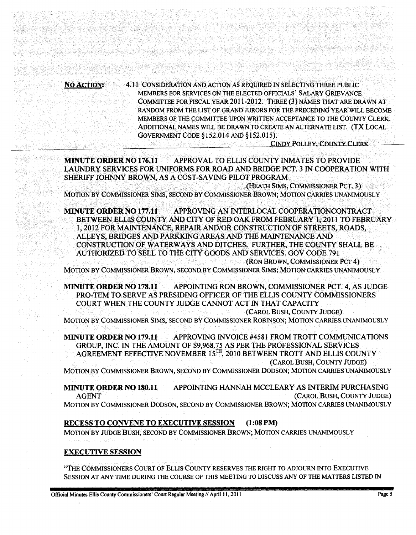4.11 CONSIDERATION AND ACTION AS REOUIRED IN SELECTING THREE PUBLIC **NO ACTION:** MEMBERS FOR SERVICES ON THE ELECTED OFFICIALS' SALARY GRIEVANCE COMMITTEE FOR FISCAL YEAR 2011-2012. THREE (3) NAMES THAT ARE DRAWN AT RANDOM FROM THE LIST OF GRAND JURORS FOR THE PRECEDING YEAR WILL BECOME MEMBERS OF THE COMMITTEE UPON WRITTEN ACCEPTANCE TO THE COUNTY CLERK. ADDITIONAL NAMES WILL BE DRAWN TO CREATE AN ALTERNATE LIST. (TX LOCAL GOVERNMENT CODE §152.014 AND §152.015).

GS BESTED STARKS

**CINDY POLLEY, COUNTY CLERK** 

APPROVAL TO ELLIS COUNTY INMATES TO PROVIDE **MINUTE ORDER NO 176.11** LAUNDRY SERVICES FOR UNIFORMS FOR ROAD AND BRIDGE PCT. 3 IN COOPERATION WITH SHERIFF JOHNNY BROWN, AS A COST-SAVING PILOT PROGRAM

(HEATH SIMS, COMMISSIONER PCT. 3) MOTION BY COMMISSIONER SIMS, SECOND BY COMMISSIONER BROWN; MOTION CARRIES UNANIMOUSLY

**MINUTE ORDER NO 177.11** APPROVING AN INTERLOCAL COOPERATIONCONTRACT BETWEEN ELLIS COUNTY AND CITY OF RED OAK FROM FEBRUARY 1, 2011 TO FEBRUARY 1, 2012 FOR MAINTENANCE, REPAIR AND/OR CONSTRUCTION OF STREETS, ROADS, ALLEYS, BRIDGES AND PARKKING AREAS AND THE MAINTENANCE AND CONSTRUCTION OF WATERWAYS AND DITCHES. FURTHER, THE COUNTY SHALL BE AUTHORIZED TO SELL TO THE CITY GOODS AND SERVICES. GOV CODE 791 (RON BROWN, COMMISSIONER PCT 4)

MOTION BY COMMISSIONER BROWN, SECOND BY COMMISSIONER SIMS; MOTION CARRIES UNANIMOUSLY

**MINUTE ORDER NO 178.11** APPOINTING RON BROWN, COMMISSIONER PCT. 4, AS JUDGE PRO-TEM TO SERVE AS PRESIDING OFFICER OF THE ELLIS COUNTY COMMISSIONERS COURT WHEN THE COUNTY JUDGE CANNOT ACT IN THAT CAPACITY

(CAROL BUSH, COUNTY JUDGE)

MOTION BY COMMISSIONER SIMS, SECOND BY COMMISSIONER ROBINSON; MOTION CARRIES UNANIMOUSLY

APPROVING INVOICE #4581 FROM TROTT COMMUNICATIONS **MINUTE ORDER NO 179.11** GROUP, INC. IN THE AMOUNT OF \$9,968.75 AS PER THE PROFESSIONAL SERVICES AGREEMENT EFFECTIVE NOVEMBER 15TH, 2010 BETWEEN TROTT AND ELLIS COUNTY (CAROL BUSH, COUNTY JUDGE)

MOTION BY COMMISSIONER BROWN, SECOND BY COMMISSIONER DODSON; MOTION CARRIES UNANIMOUSLY

APPOINTING HANNAH MCCLEARY AS INTERIM PURCHASING **MINUTE ORDER NO 180.11** (CAROL BUSH, COUNTY JUDGE) **AGENT** MOTION BY COMMISSIONER DODSON, SECOND BY COMMISSIONER BROWN; MOTION CARRIES UNANIMOUSLY

#### **RECESS TO CONVENE TO EXECUTIVE SESSION**  $(1:08 \text{ PM})$

MOTION BY JUDGE BUSH, SECOND BY COMMISSIONER BROWN; MOTION CARRIES UNANIMOUSLY

#### **EXECUTIVE SESSION**

"THE COMMISSIONERS COURT OF ELLIS COUNTY RESERVES THE RIGHT TO ADJOURN INTO EXECUTIVE SESSION AT ANY TIME DURING THE COURSE OF THIS MEETING TO DISCUSS ANY OF THE MATTERS LISTED IN